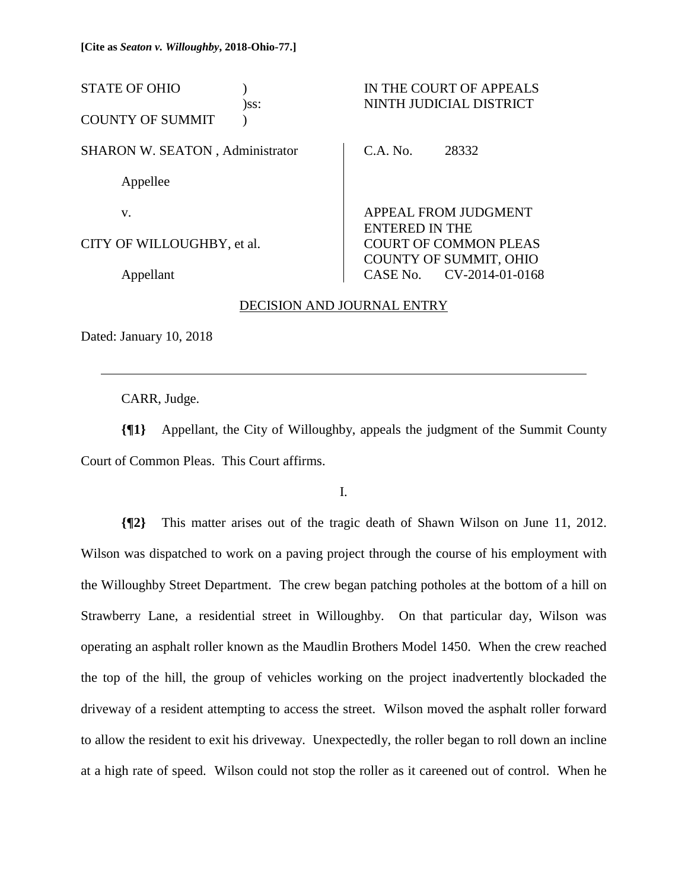STATE OF OHIO ) IN THE COURT OF APPEALS )ss: NINTH JUDICIAL DISTRICT COUNTY OF SUMMIT ) SHARON W. SEATON , Administrator Appellee v. CITY OF WILLOUGHBY, et al. Appellant C.A. No. 28332 APPEAL FROM JUDGMENT ENTERED IN THE COURT OF COMMON PLEAS COUNTY OF SUMMIT, OHIO CASE No. CV-2014-01-0168

## DECISION AND JOURNAL ENTRY

Dated: January 10, 2018

 $\overline{a}$ 

CARR, Judge.

**{¶1}** Appellant, the City of Willoughby, appeals the judgment of the Summit County Court of Common Pleas. This Court affirms.

I.

**{¶2}** This matter arises out of the tragic death of Shawn Wilson on June 11, 2012. Wilson was dispatched to work on a paving project through the course of his employment with the Willoughby Street Department. The crew began patching potholes at the bottom of a hill on Strawberry Lane, a residential street in Willoughby. On that particular day, Wilson was operating an asphalt roller known as the Maudlin Brothers Model 1450. When the crew reached the top of the hill, the group of vehicles working on the project inadvertently blockaded the driveway of a resident attempting to access the street. Wilson moved the asphalt roller forward to allow the resident to exit his driveway. Unexpectedly, the roller began to roll down an incline at a high rate of speed. Wilson could not stop the roller as it careened out of control. When he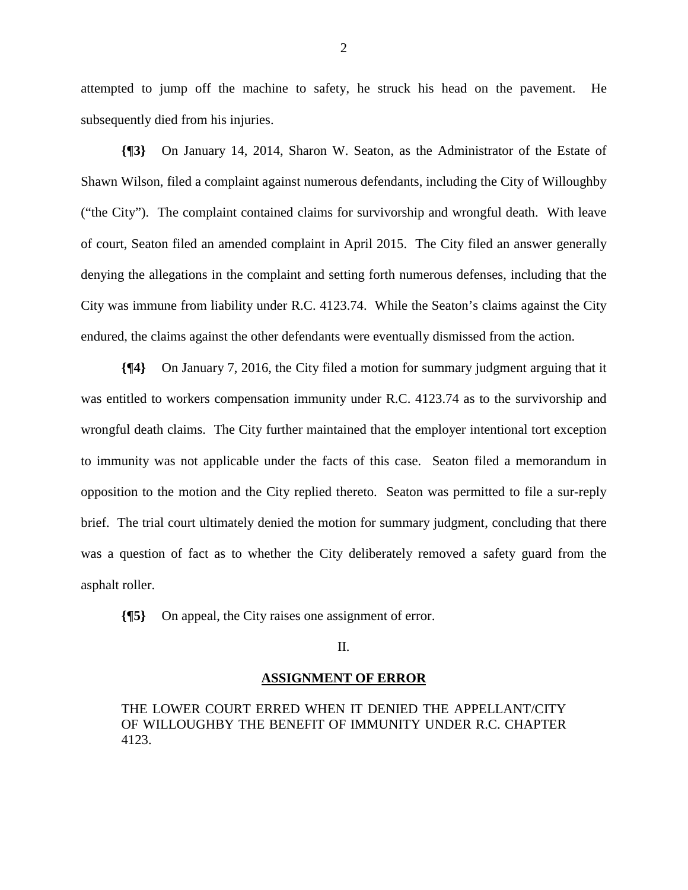attempted to jump off the machine to safety, he struck his head on the pavement. He subsequently died from his injuries.

**{¶3}** On January 14, 2014, Sharon W. Seaton, as the Administrator of the Estate of Shawn Wilson, filed a complaint against numerous defendants, including the City of Willoughby ("the City"). The complaint contained claims for survivorship and wrongful death. With leave of court, Seaton filed an amended complaint in April 2015. The City filed an answer generally denying the allegations in the complaint and setting forth numerous defenses, including that the City was immune from liability under R.C. 4123.74. While the Seaton's claims against the City endured, the claims against the other defendants were eventually dismissed from the action.

**{¶4}** On January 7, 2016, the City filed a motion for summary judgment arguing that it was entitled to workers compensation immunity under R.C. 4123.74 as to the survivorship and wrongful death claims. The City further maintained that the employer intentional tort exception to immunity was not applicable under the facts of this case. Seaton filed a memorandum in opposition to the motion and the City replied thereto. Seaton was permitted to file a sur-reply brief. The trial court ultimately denied the motion for summary judgment, concluding that there was a question of fact as to whether the City deliberately removed a safety guard from the asphalt roller.

**{¶5}** On appeal, the City raises one assignment of error.

II.

## **ASSIGNMENT OF ERROR**

THE LOWER COURT ERRED WHEN IT DENIED THE APPELLANT/CITY OF WILLOUGHBY THE BENEFIT OF IMMUNITY UNDER R.C. CHAPTER 4123.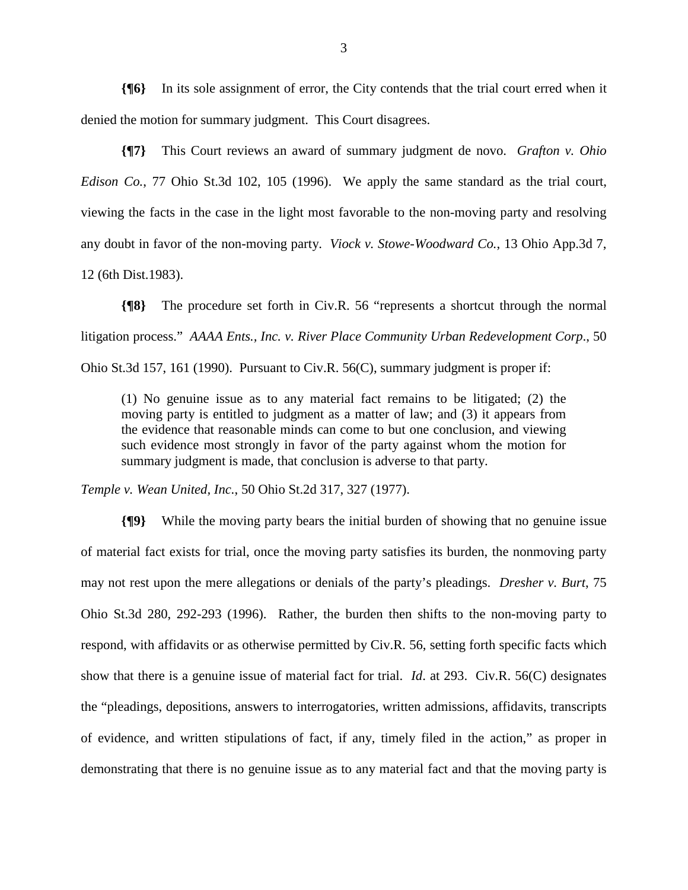**{¶6}** In its sole assignment of error, the City contends that the trial court erred when it denied the motion for summary judgment. This Court disagrees.

**{¶7}** This Court reviews an award of summary judgment de novo. *Grafton v. Ohio Edison Co.*, 77 Ohio St.3d 102, 105 (1996). We apply the same standard as the trial court, viewing the facts in the case in the light most favorable to the non-moving party and resolving any doubt in favor of the non-moving party. *Viock v. Stowe-Woodward Co.*, 13 Ohio App.3d 7, 12 (6th Dist.1983).

**{¶8}** The procedure set forth in Civ.R. 56 "represents a shortcut through the normal litigation process." *AAAA Ents., Inc. v. River Place Community Urban Redevelopment Corp*., 50 Ohio St.3d 157, 161 (1990). Pursuant to Civ.R. 56(C), summary judgment is proper if:

(1) No genuine issue as to any material fact remains to be litigated; (2) the moving party is entitled to judgment as a matter of law; and (3) it appears from the evidence that reasonable minds can come to but one conclusion, and viewing such evidence most strongly in favor of the party against whom the motion for summary judgment is made, that conclusion is adverse to that party.

*Temple v. Wean United, Inc.*, 50 Ohio St.2d 317, 327 (1977).

**{¶9}** While the moving party bears the initial burden of showing that no genuine issue of material fact exists for trial, once the moving party satisfies its burden, the nonmoving party may not rest upon the mere allegations or denials of the party's pleadings. *Dresher v. Burt*, 75 Ohio St.3d 280, 292-293 (1996). Rather, the burden then shifts to the non-moving party to respond, with affidavits or as otherwise permitted by Civ.R. 56, setting forth specific facts which show that there is a genuine issue of material fact for trial. *Id*. at 293. Civ.R. 56(C) designates the "pleadings, depositions, answers to interrogatories, written admissions, affidavits, transcripts of evidence, and written stipulations of fact, if any, timely filed in the action," as proper in demonstrating that there is no genuine issue as to any material fact and that the moving party is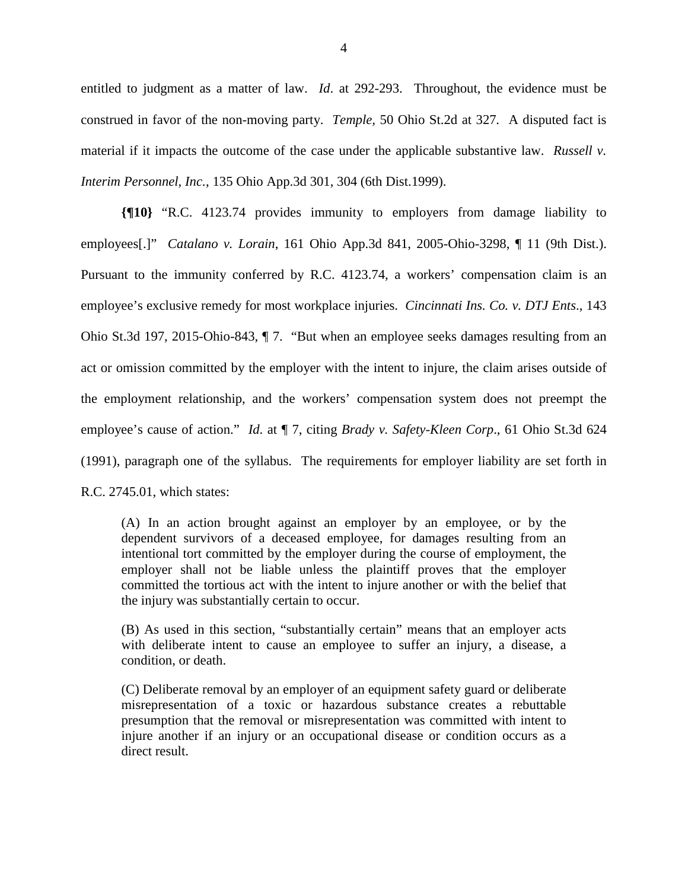entitled to judgment as a matter of law. *Id*. at 292-293. Throughout, the evidence must be construed in favor of the non-moving party. *Temple,* 50 Ohio St.2d at 327*.* A disputed fact is material if it impacts the outcome of the case under the applicable substantive law. *Russell v. Interim Personnel, Inc.*, 135 Ohio App.3d 301, 304 (6th Dist.1999).

**{¶10}** "R.C. 4123.74 provides immunity to employers from damage liability to employees[.]" *Catalano v. Lorain*, 161 Ohio App.3d 841, 2005-Ohio-3298, ¶ 11 (9th Dist.). Pursuant to the immunity conferred by R.C. 4123.74, a workers' compensation claim is an employee's exclusive remedy for most workplace injuries. *Cincinnati Ins. Co. v. DTJ Ents*., 143 Ohio St.3d 197, 2015-Ohio-843, ¶ 7. "But when an employee seeks damages resulting from an act or omission committed by the employer with the intent to injure, the claim arises outside of the employment relationship, and the workers' compensation system does not preempt the employee's cause of action." *Id*. at ¶ 7, citing *Brady v. Safety-Kleen Corp*., 61 Ohio St.3d 624 (1991), paragraph one of the syllabus. The requirements for employer liability are set forth in R.C. 2745.01, which states:

(A) In an action brought against an employer by an employee, or by the dependent survivors of a deceased employee, for damages resulting from an intentional tort committed by the employer during the course of employment, the employer shall not be liable unless the plaintiff proves that the employer committed the tortious act with the intent to injure another or with the belief that the injury was substantially certain to occur.

(B) As used in this section, "substantially certain" means that an employer acts with deliberate intent to cause an employee to suffer an injury, a disease, a condition, or death.

(C) Deliberate removal by an employer of an equipment safety guard or deliberate misrepresentation of a toxic or hazardous substance creates a rebuttable presumption that the removal or misrepresentation was committed with intent to injure another if an injury or an occupational disease or condition occurs as a direct result.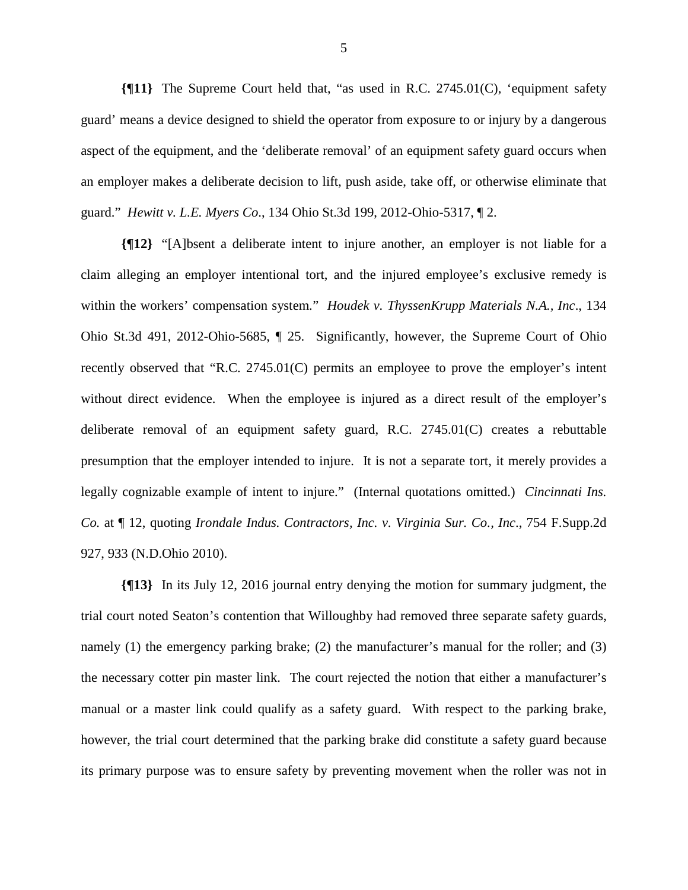**{¶11}** The Supreme Court held that, "as used in R.C. 2745.01(C), 'equipment safety guard' means a device designed to shield the operator from exposure to or injury by a dangerous aspect of the equipment, and the 'deliberate removal' of an equipment safety guard occurs when an employer makes a deliberate decision to lift, push aside, take off, or otherwise eliminate that guard." *Hewitt v. L.E. Myers Co*., 134 Ohio St.3d 199, 2012-Ohio-5317, ¶ 2.

**{¶12}** "[A]bsent a deliberate intent to injure another, an employer is not liable for a claim alleging an employer intentional tort, and the injured employee's exclusive remedy is within the workers' compensation system*.*" *Houdek v. ThyssenKrupp Materials N.A., Inc*., 134 Ohio St.3d 491, 2012-Ohio-5685, ¶ 25. Significantly, however, the Supreme Court of Ohio recently observed that "R.C. 2745.01(C) permits an employee to prove the employer's intent without direct evidence. When the employee is injured as a direct result of the employer's deliberate removal of an equipment safety guard, R.C. 2745.01(C) creates a rebuttable presumption that the employer intended to injure. It is not a separate tort, it merely provides a legally cognizable example of intent to injure." (Internal quotations omitted.) *Cincinnati Ins. Co.* at ¶ 12, quoting *Irondale Indus. Contractors, Inc. v. Virginia Sur. Co., Inc*., 754 F.Supp.2d 927, 933 (N.D.Ohio 2010).

**{¶13}** In its July 12, 2016 journal entry denying the motion for summary judgment, the trial court noted Seaton's contention that Willoughby had removed three separate safety guards, namely (1) the emergency parking brake; (2) the manufacturer's manual for the roller; and (3) the necessary cotter pin master link. The court rejected the notion that either a manufacturer's manual or a master link could qualify as a safety guard. With respect to the parking brake, however, the trial court determined that the parking brake did constitute a safety guard because its primary purpose was to ensure safety by preventing movement when the roller was not in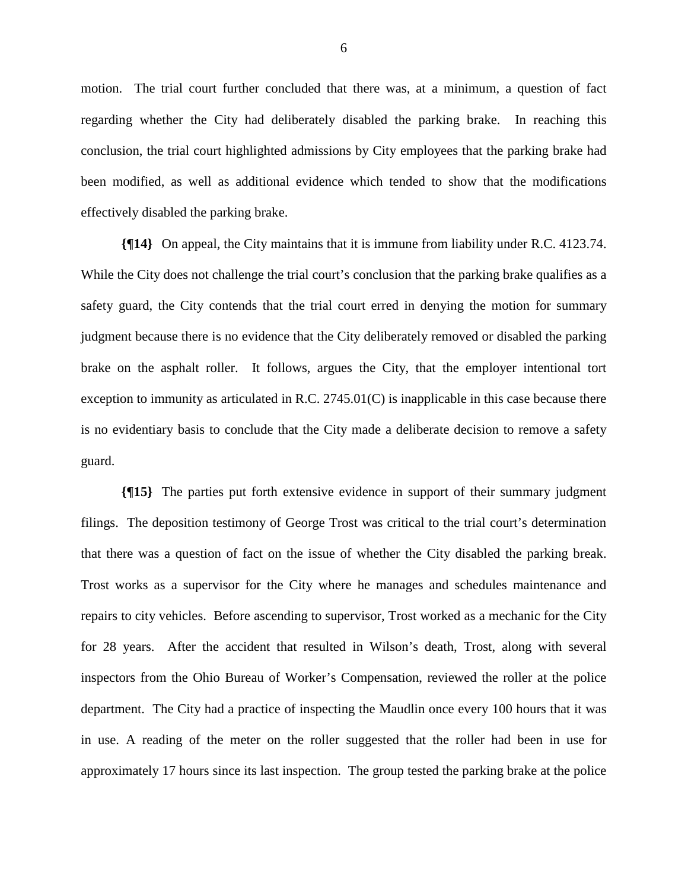motion. The trial court further concluded that there was, at a minimum, a question of fact regarding whether the City had deliberately disabled the parking brake. In reaching this conclusion, the trial court highlighted admissions by City employees that the parking brake had been modified, as well as additional evidence which tended to show that the modifications effectively disabled the parking brake.

**{¶14}** On appeal, the City maintains that it is immune from liability under R.C. 4123.74. While the City does not challenge the trial court's conclusion that the parking brake qualifies as a safety guard, the City contends that the trial court erred in denying the motion for summary judgment because there is no evidence that the City deliberately removed or disabled the parking brake on the asphalt roller. It follows, argues the City, that the employer intentional tort exception to immunity as articulated in R.C. 2745.01(C) is inapplicable in this case because there is no evidentiary basis to conclude that the City made a deliberate decision to remove a safety guard.

**{¶15}** The parties put forth extensive evidence in support of their summary judgment filings. The deposition testimony of George Trost was critical to the trial court's determination that there was a question of fact on the issue of whether the City disabled the parking break. Trost works as a supervisor for the City where he manages and schedules maintenance and repairs to city vehicles. Before ascending to supervisor, Trost worked as a mechanic for the City for 28 years. After the accident that resulted in Wilson's death, Trost, along with several inspectors from the Ohio Bureau of Worker's Compensation, reviewed the roller at the police department. The City had a practice of inspecting the Maudlin once every 100 hours that it was in use. A reading of the meter on the roller suggested that the roller had been in use for approximately 17 hours since its last inspection. The group tested the parking brake at the police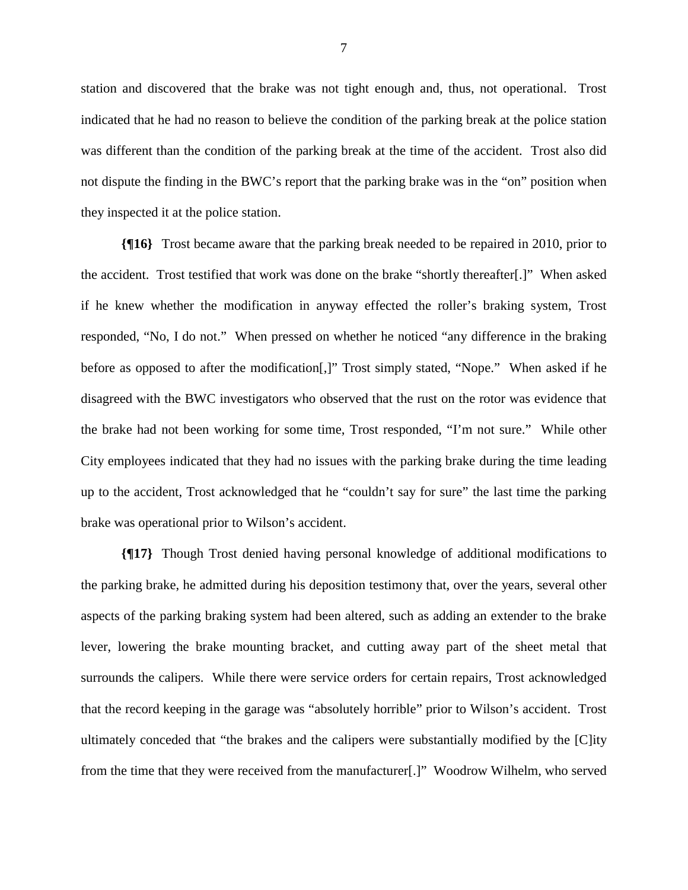station and discovered that the brake was not tight enough and, thus, not operational. Trost indicated that he had no reason to believe the condition of the parking break at the police station was different than the condition of the parking break at the time of the accident. Trost also did not dispute the finding in the BWC's report that the parking brake was in the "on" position when they inspected it at the police station.

**{¶16}** Trost became aware that the parking break needed to be repaired in 2010, prior to the accident. Trost testified that work was done on the brake "shortly thereafter[.]" When asked if he knew whether the modification in anyway effected the roller's braking system, Trost responded, "No, I do not." When pressed on whether he noticed "any difference in the braking before as opposed to after the modification[,]" Trost simply stated, "Nope." When asked if he disagreed with the BWC investigators who observed that the rust on the rotor was evidence that the brake had not been working for some time, Trost responded, "I'm not sure." While other City employees indicated that they had no issues with the parking brake during the time leading up to the accident, Trost acknowledged that he "couldn't say for sure" the last time the parking brake was operational prior to Wilson's accident.

**{¶17}** Though Trost denied having personal knowledge of additional modifications to the parking brake, he admitted during his deposition testimony that, over the years, several other aspects of the parking braking system had been altered, such as adding an extender to the brake lever, lowering the brake mounting bracket, and cutting away part of the sheet metal that surrounds the calipers. While there were service orders for certain repairs, Trost acknowledged that the record keeping in the garage was "absolutely horrible" prior to Wilson's accident. Trost ultimately conceded that "the brakes and the calipers were substantially modified by the [C]ity from the time that they were received from the manufacturer[.]" Woodrow Wilhelm, who served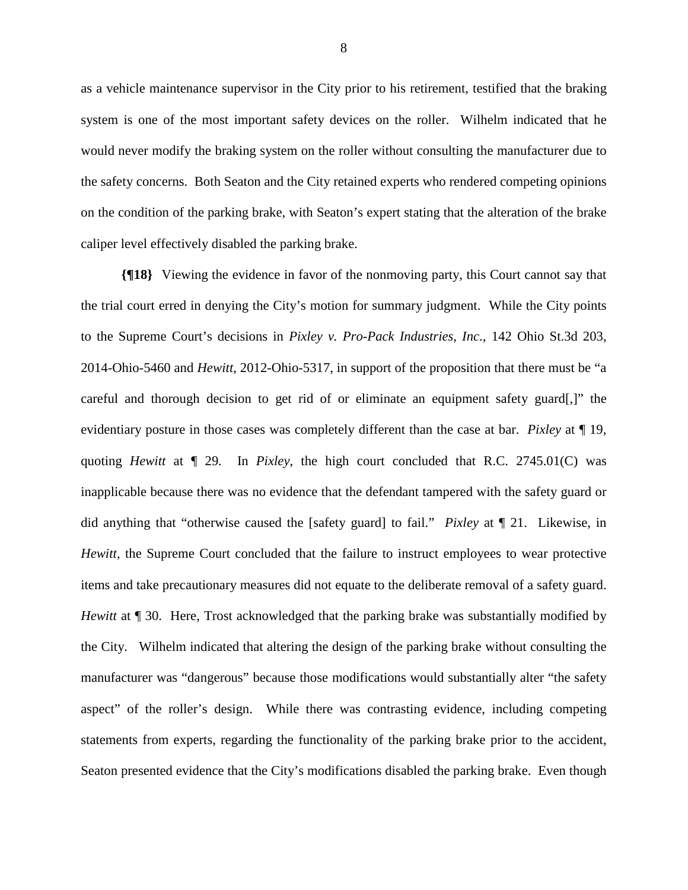as a vehicle maintenance supervisor in the City prior to his retirement, testified that the braking system is one of the most important safety devices on the roller. Wilhelm indicated that he would never modify the braking system on the roller without consulting the manufacturer due to the safety concerns. Both Seaton and the City retained experts who rendered competing opinions on the condition of the parking brake, with Seaton's expert stating that the alteration of the brake caliper level effectively disabled the parking brake.

**{¶18}** Viewing the evidence in favor of the nonmoving party, this Court cannot say that the trial court erred in denying the City's motion for summary judgment. While the City points to the Supreme Court's decisions in *Pixley v. Pro-Pack Industries, Inc*., 142 Ohio St.3d 203, 2014-Ohio-5460 and *Hewitt*, 2012-Ohio-5317, in support of the proposition that there must be "a careful and thorough decision to get rid of or eliminate an equipment safety guard[,]" the evidentiary posture in those cases was completely different than the case at bar. *Pixley* at ¶ 19, quoting *Hewitt* at ¶ 29. In *Pixley*, the high court concluded that R.C. 2745.01(C) was inapplicable because there was no evidence that the defendant tampered with the safety guard or did anything that "otherwise caused the [safety guard] to fail." *Pixley* at ¶ 21. Likewise, in *Hewitt*, the Supreme Court concluded that the failure to instruct employees to wear protective items and take precautionary measures did not equate to the deliberate removal of a safety guard. *Hewitt* at  $\llbracket$  30. Here, Trost acknowledged that the parking brake was substantially modified by the City. Wilhelm indicated that altering the design of the parking brake without consulting the manufacturer was "dangerous" because those modifications would substantially alter "the safety aspect" of the roller's design. While there was contrasting evidence, including competing statements from experts, regarding the functionality of the parking brake prior to the accident, Seaton presented evidence that the City's modifications disabled the parking brake. Even though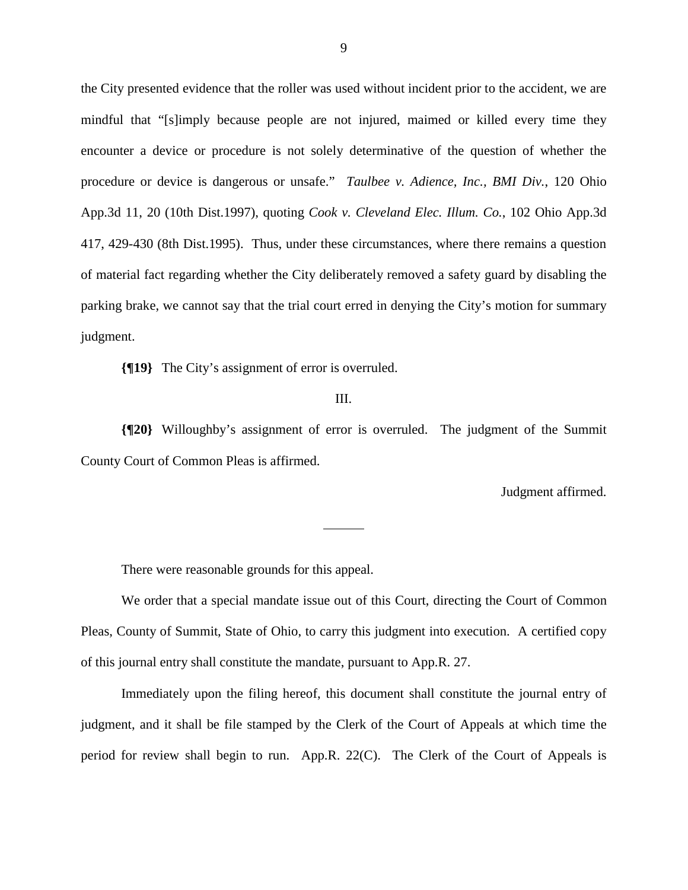the City presented evidence that the roller was used without incident prior to the accident, we are mindful that "[s]imply because people are not injured, maimed or killed every time they encounter a device or procedure is not solely determinative of the question of whether the procedure or device is dangerous or unsafe." *Taulbee v. Adience, Inc., BMI Div.*, 120 Ohio App.3d 11, 20 (10th Dist.1997), quoting *Cook v. Cleveland Elec. Illum. Co.*, 102 Ohio App.3d 417, 429-430 (8th Dist.1995). Thus, under these circumstances, where there remains a question of material fact regarding whether the City deliberately removed a safety guard by disabling the parking brake, we cannot say that the trial court erred in denying the City's motion for summary judgment.

**{¶19}** The City's assignment of error is overruled.

## III.

**{¶20}** Willoughby's assignment of error is overruled. The judgment of the Summit County Court of Common Pleas is affirmed.

 $\overline{a}$ 

Judgment affirmed.

There were reasonable grounds for this appeal.

 We order that a special mandate issue out of this Court, directing the Court of Common Pleas, County of Summit, State of Ohio, to carry this judgment into execution. A certified copy of this journal entry shall constitute the mandate, pursuant to App.R. 27.

 Immediately upon the filing hereof, this document shall constitute the journal entry of judgment, and it shall be file stamped by the Clerk of the Court of Appeals at which time the period for review shall begin to run. App.R. 22(C). The Clerk of the Court of Appeals is